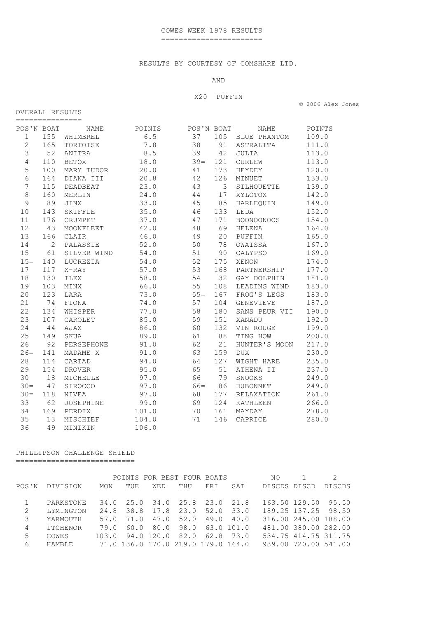## RESULTS BY COURTESY OF COMSHARE LTD.

#### AND

## X20 PUFFIN

© 2006 Alex Jones

### OVERALL RESULTS ===============

| POS'N BOAT     |     | NAME         | POINTS | POS'N BOAT |     | NAME              | POINTS |
|----------------|-----|--------------|--------|------------|-----|-------------------|--------|
| $\mathbf{1}$   | 155 | WHIMBREL     | 6.5    | 37         | 105 | BLUE PHANTOM      | 109.0  |
| 2              | 165 | TORTOISE     | 7.8    | 38         | 91  | ASTRALITA         | 111.0  |
| 3              | 52  | ANITRA       | 8.5    | 39         | 42  | JULIA             | 113.0  |
| $\overline{4}$ | 110 | <b>BETOX</b> | 18.0   | $39 =$     | 121 | CURLEW            | 113.0  |
| 5              | 100 | MARY TUDOR   | 20.0   | 41         | 173 | HEYDEY            | 120.0  |
| 6              | 164 | DIANA III    | 20.8   | 42         | 126 | MINUET            | 133.0  |
| 7              | 115 | DEADBEAT     | 23.0   | 43         | 3   | SILHOUETTE        | 139.0  |
| 8              | 160 | MERLIN       | 24.0   | 44         | 17  | XYLOTOX           | 142.0  |
| $\mathsf 9$    | 89  | JINX         | 33.0   | 45         | 85  | HARLEQUIN         | 149.0  |
| 10             | 143 | SKIFFLE      | 35.0   | 46         | 133 | LEDA              | 152.0  |
| 11             | 176 | CRUMPET      | 37.0   | 47         | 171 | <b>BOONOONOOS</b> | 154.0  |
| 12             | 43  | MOONFLEET    | 42.0   | 48         | 69  | HELENA            | 164.0  |
| 13             | 166 | CLAIR        | 46.0   | 49         | 20  | PUFFIN            | 165.0  |
| 14             | 2   | PALASSIE     | 52.0   | 50         | 78  | OWAISSA           | 167.0  |
| 15             | 61  | SILVER WIND  | 54.0   | 51         | 90  | CALYPSO           | 169.0  |
| $15 =$         | 140 | LUCREZIA     | 54.0   | 52         | 175 | XENON             | 174.0  |
| 17             | 117 | X-RAY        | 57.0   | 53         | 168 | PARTNERSHIP       | 177.0  |
| 18             | 130 | ILEX         | 58.0   | 54         | 32  | GAY DOLPHIN       | 181.0  |
| 19             | 103 | MINX         | 66.0   | 55         | 108 | LEADING WIND      | 183.0  |
| 20             | 123 | LARA         | 73.0   | $55 =$     | 167 | FROG'S LEGS       | 183.0  |
| 21             | 74  | FIONA        | 74.0   | 57         | 104 | GENEVIEVE         | 187.0  |
| 22             | 134 | WHISPER      | 77.0   | 58         | 180 | SANS PEUR VII     | 190.0  |
| 23             | 107 | CAROLET      | 85.0   | 59         | 151 | XANADU            | 192.0  |
| 24             | 44  | AJAX         | 86.0   | 60         | 132 | VIN ROUGE         | 199.0  |
| 25             | 149 | SKUA         | 89.0   | 61         | 88  | TING HOW          | 200.0  |
| 26             | 92  | PERSEPHONE   | 91.0   | 62         | 21  | HUNTER'S MOON     | 217.0  |
| $26=$          | 141 | MADAME X     | 91.0   | 63         | 159 | <b>DUX</b>        | 230.0  |
| 28             | 114 | CARIAD       | 94.0   | 64         | 127 | WIGHT HARE        | 235.0  |
| 29             | 154 | DROVER       | 95.0   | 65         | 51  | ATHENA II         | 237.0  |
| 30             | 18  | MICHELLE     | 97.0   | 66         | 79  | SNOOKS            | 249.0  |
| $30 =$         | 47  | SIROCCO      | 97.0   | $66 =$     | 86  | <b>DUBONNET</b>   | 249.0  |
| $30 =$         | 118 | NIVEA        | 97.0   | 68         | 177 | RELAXATION        | 261.0  |
| 33             | 62  | JOSEPHINE    | 99.0   | 69         | 124 | KATHLEEN          | 266.0  |
| 34             | 169 | PERDIX       | 101.0  | 70         | 161 | MAYDAY            | 278.0  |
| 35             | 13  | MISCHIEF     | 104.0  | 71         | 146 | CAPRICE           | 280.0  |
| 36             | 49  | MINIKIN      | 106.0  |            |     |                   |        |

# PHILLIPSON CHALLENGE SHIELD

===========================

|       |                 |            |      |     | POINTS FOR BEST FOUR BOATS         |     |               | NO.          |                      |               |
|-------|-----------------|------------|------|-----|------------------------------------|-----|---------------|--------------|----------------------|---------------|
| POS'N | DIVISION        | <b>MON</b> | TUE  | WED | THU                                | FRI | SAT           | DISCDS DISCD |                      | <b>DISCDS</b> |
|       | PARKSTONE       | 34.0       |      |     | 25.0 34.0 25.8 23.0 21.8           |     |               |              | 163.50 129.50 95.50  |               |
|       |                 |            |      |     |                                    |     |               |              |                      |               |
| 2     | LYMINGTON       | 24.8       |      |     | 38.8 17.8 23.0                     |     | $52.0$ $33.0$ |              | 189.25 137.25 98.50  |               |
| 3     | YARMOUTH        | 57.0       | 71.0 |     | 47.0 52.0                          |     | 49.0 40.0     |              | 316.00 245.00 188.00 |               |
| 4     | <b>ITCHENOR</b> | 79.0       | 60.0 |     | 80.0 98.0 63.0 101.0               |     |               |              | 481,00 380,00 282,00 |               |
| 5     | COWES           | 103.0      |      |     | 94.0 120.0 82.0 62.8 73.0          |     |               |              | 534.75 414.75 311.75 |               |
| 6     | <b>HAMRLE</b>   |            |      |     | 71.0 136.0 170.0 219.0 179.0 164.0 |     |               |              | 939.00 720.00 541.00 |               |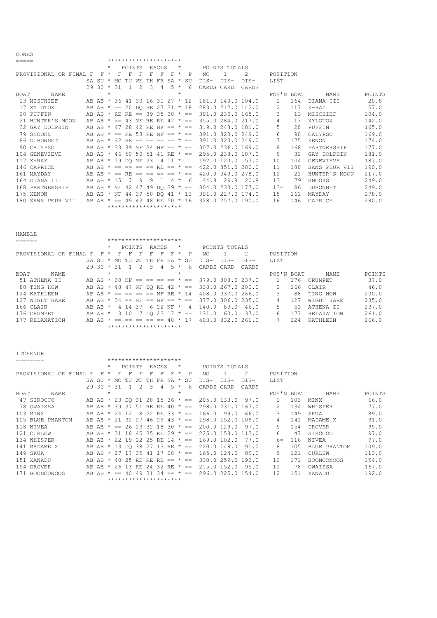COWES

| ◡◡┅⊔◡ |                        |                   |         |                                |        |               |                           |       |                           |         |      |        |               |                   |              |     |                  |        |
|-------|------------------------|-------------------|---------|--------------------------------|--------|---------------|---------------------------|-------|---------------------------|---------|------|--------|---------------|-------------------|--------------|-----|------------------|--------|
| ===== |                        |                   |         | *********************          |        |               |                           |       |                           |         |      |        |               |                   |              |     |                  |        |
|       |                        |                   | $\star$ |                                | POINTS |               |                           | RACES |                           | *       |      |        | POINTS TOTALS |                   |              |     |                  |        |
|       | PROVISIONAL OR FINAL F | F                 | $\star$ | F                              |        |               |                           |       | F                         | $\star$ | P    | NO.    |               | 2                 | POSITION     |     |                  |        |
|       |                        | SA SU             | $\star$ | MO.                            | TU     | WF.           | TН                        | FR    | SA                        | $\star$ | -SU  | $DTS-$ | $DTS-$        | $DTS-$            | LIST         |     |                  |        |
|       |                        | $29.30 \times 31$ |         |                                |        | $\mathcal{P}$ | 3                         | 4     | $5 *$                     |         | 6    | CARDS  | CARD          | CARDS             |              |     |                  |        |
| BOAT  | <b>NAME</b>            |                   | $\star$ |                                |        |               |                           |       |                           | $\star$ |      |        |               |                   | POS'N BOAT   |     | <b>NAME</b>      | POINTS |
|       | 13 MISCHIEF            |                   |         | AB AB * 36 41 30 16 31 27 * 12 |        |               |                           |       |                           |         |      |        |               | 181.0 140.0 104.0 | $\mathbf{1}$ | 164 | DIANA III        | 20.8   |
|       | 17 XYLOTOX             | AB AB             | $\star$ |                                |        |               | $== 20$ DO RE 27 31 * 18  |       |                           |         |      |        |               | 283.0 212.0 142.0 | 2            | 117 | X-RAY            | 57.0   |
|       | 20 PUFFIN              | AB AB * RE        |         |                                |        |               | RE == 39 35 38 $\star$ == |       |                           |         |      |        |               | 301.0 230.0 165.0 | 3            | -13 | MISCHIEF         | 104.0  |
| 21    | HUNTER'S MOON          | AR AR             | $\star$ | $=$                            | 43     | NF            | RE RE                     |       | $47 * =$                  |         |      |        |               | 355.0 284.0 217.0 | 4            | 17  | XYLOTOX          | 142.0  |
|       | 32 GAY DOLPHIN         | AB AB             | $\star$ | 47                             | 28     | 42            | RE.                       | ΝF    | $==$                      | $\star$ | $=$  |        |               | 319.0 248.0 181.0 | 5            | 2.0 | PUFFIN           | 165.0  |
|       | 79 SNOOKS              | AB AB             |         | $==$                           | RE.    | 53            | RE.                       | NF    | $=$                       |         | $==$ |        |               | 391.0 320.0 249.0 | 6            | 90  | CALYPSO          | 169.0  |
|       | 86 DUBONNET            | AB AB             | $\star$ | 42 RE                          |        | $==$          |                           | $=$   | $=$ $+$                   |         | $=$  |        |               | 391.0 320.0 249.0 |              | 175 | XENON            | 174.0  |
|       | 90 CALYPSO             | AB AB             |         | $*$ 33 39                      |        | NF            | 34 NF                     |       | $== * ==$                 |         |      |        |               | 307.0 236.0 169.0 | 8            | 168 | PARTNERSHIP      | 177.0  |
|       | 104 GENEVIEVE          | AB AB             | $\star$ | 46                             | 50     | 50            | 51                        |       | 41 RE $* ==$              |         |      |        |               | 295.0 238.0 187.0 | 9            | 32  | GAY DOLPHIN      | 181.0  |
|       | 117 X-RAY              | AB AB *           |         | 19 DO NF                       |        |               | -23                       | 4     |                           | $\star$ |      |        | 192.0 120.0   | 57.0              | 10           | 104 | <b>GENEVIEVE</b> | 187.0  |
|       | 146 CAPRICE            | AB AB             |         |                                |        |               | $==$                      |       | $\overline{RR}$ == $*$ == |         |      |        |               | 422.0 351.0 280.0 | 11           | 180 | SANS PEUR VII    | 190.0  |
|       | 161 MAYDAY             | AB AB             |         | $* == RR$                      |        | $==$          |                           | $==$  | $=$ $*$                   |         | $=$  |        |               | 420.0 349.0 278.0 | 12           | 21  | HUNTER'S MOON    | 217.0  |
|       | 164 DIANA III          | AB AB             | $\star$ | -1.5                           |        | 9             | 9                         |       | 4                         | $\star$ | 6    | 44.8   | 29.8          | 20.8              | 13           | 79  | SNOOKS           | 249.0  |
|       | 168 PARTNERSHIP        | AB AB             | $\star$ | NF                             | 42     | 47            |                           |       | 49 DQ 39 $* ==$           |         |      |        |               | 304.0 230.0 177.0 | $13=$        | 86  | <b>DUBONNET</b>  | 249.0  |
|       | 175 XENON              | AB AB             | $\star$ | NF.                            | 44     | 39            | 50                        |       | DO 41 $*$ 13              |         |      |        |               | 301.0 227.0 174.0 | 15           | 161 | MAYDAY           | 278.0  |
|       | 180 SANS PEUR VII      | AB AB             |         | $\star$ $==$                   | 49     | 43            | 48                        | RE.   | $50 * 16$                 |         |      |        |               | 328.0 257.0 190.0 | 16           | 146 | CAPRICE          | 280.0  |
|       |                        |                   |         | *********************          |        |               |                           |       |                           |         |      |        |               |                   |              |     |                  |        |

| HAMBLE                 |                                    |              |                         |         |     |            |       |                    |         |      |            |               |                   |            |     |                |        |
|------------------------|------------------------------------|--------------|-------------------------|---------|-----|------------|-------|--------------------|---------|------|------------|---------------|-------------------|------------|-----|----------------|--------|
| .=====                 |                                    |              | *********************   |         |     |            |       |                    |         |      |            |               |                   |            |     |                |        |
|                        |                                    | $\star$      |                         | POINTS  |     |            | RACES |                    | $\star$ |      |            | POINTS TOTALS |                   |            |     |                |        |
| PROVISIONAL OR FINAL F |                                    | F<br>$\star$ | F.                      | F       | F   | F          | F     | F                  | $\star$ | P.   | NO         |               |                   | POSITION   |     |                |        |
|                        | SA SU                              | $\star$      | MO.                     | TU      | WF. | TН         | FR    | SA *               |         | SU   | DIS-       | DTS-          | $DTS-$            | LIST       |     |                |        |
|                        | 2930                               |              | $*$ 31                  |         |     | 3          | 4     | .5.                | $\star$ | 6    | CARDS CARD |               | CARDS             |            |     |                |        |
| NAME<br>BOAT           |                                    | $\star$      |                         |         |     |            |       |                    | $\star$ |      |            |               |                   | POS'N BOAT |     | NAME.          | POINTS |
| 51 ATHENA II           | AB AB * 30                         |              |                         | NF      |     |            |       | == == == == * ==   |         |      |            |               | 379.0 308.0 237.0 |            | 176 | <b>CRUMPET</b> | 37.0   |
| 88<br>TING HOW         | AB AB                              | $\star$      |                         | 48 47   |     |            |       | NF DO RE $42 * ==$ |         |      |            |               | 338.0 267.0 200.0 |            | 166 | CLAIR          | 46.0   |
| 124<br>KATHLEEN        | AB AB                              |              | $* == == == NP RR * 14$ |         |     |            |       |                    |         |      |            |               | 408.0 337.0 266.0 |            | 88  | TING HOW       | 200.0  |
| 127 WIGHT HARE         | AB AB $*$ 34 == NF == NF == $*$ == |              |                         |         |     |            |       |                    |         |      |            |               | 377.0 306.0 235.0 |            | 127 | WIGHT HARE     | 235.0  |
| 166 CLAIR              | AB AB *                            |              |                         | 4 14 37 |     |            |       | 6 22 NF            | $\star$ | 4    | 140.0      | 83.0          | 46.0              | 5          | 51  | ATHENA II      | 237.0  |
| 176 CRUMPET            | AB<br>AB                           | $\star$      |                         | 3 10    |     | 7 DO 23 17 |       |                    | $\star$ | $==$ | 131        | 60.0          | 37.0              | 6          |     | RELAXATION     | 261.0  |
| 177 RELAXATION         | AB AB                              | $\star$      | $=$                     |         |     |            |       | $== == == 48 * 17$ |         |      |            |               | 403.0 332.0 261.0 |            | 124 | KATHLEEN       | 266.0  |
|                        |                                    |              | *********************   |         |     |            |       |                    |         |      |            |               |                   |            |     |                |        |

|      | <b>TTCHENOR</b>      |     |       |         |      |        |     |                           |       |     |         |              |               |               |                   |               |     |               |        |
|------|----------------------|-----|-------|---------|------|--------|-----|---------------------------|-------|-----|---------|--------------|---------------|---------------|-------------------|---------------|-----|---------------|--------|
|      | ========             |     |       |         |      |        |     | *********************     |       |     |         |              |               |               |                   |               |     |               |        |
|      |                      |     |       | $\star$ |      | POINTS |     |                           | RACES |     | $\star$ |              |               | POINTS TOTALS |                   |               |     |               |        |
|      | PROVISIONAL OR FINAL | F   | F     | $\star$ |      | F      |     | F                         | F     | F   | $\star$ | P            | NO            |               | 2                 | POSITION      |     |               |        |
|      |                      |     | SA SU | $\star$ | MO.  | TU     | WF. | TН                        | FR    | SA  | $\star$ | SU           | $DIS-$        | DIS-          | DTS-              | LIST          |     |               |        |
|      |                      |     | 29 30 | $\star$ | -31  |        |     | 3                         | 4     | 5   | $\star$ | 6            | CARDS         | CARD          | CARDS             |               |     |               |        |
| BOAT | NAME                 |     |       | $\star$ |      |        |     |                           |       |     | $\star$ |              |               |               |                   | POS'N BOAT    |     | NAME          | POINTS |
|      | 47 SIROCCO           | AB  | AB    |         |      |        |     | $*$ 23 DO 31 28 15 36 $*$ |       |     |         | $==$         | 205.0 133.0   |               | 97.0              |               | 103 | <b>MTNX</b>   | 66.0   |
|      | 78 OWAISSA           | AB  | AB    |         | 39   | -37    | -51 | RF.                       | RF.   | 40  | $\star$ | $=$          | 298.0         | 231.0         | 167.0             | $\mathcal{L}$ | 134 | WHISPER       | 77.0   |
|      | 103 MINX             | AB. | AB    | $\star$ | 24   | 12     | 8   | 22                        | RF.   | 33  | $\star$ | $=$          | 166.0         | 99.0          | 66.0              | 3             | 149 | SKUA          | 89.0   |
|      | 105 BLUE PHANTOM     | AB  | AB    | $\star$ | 21   | 32     | 27  | 46                        | 29    | 43  | $\star$ | $==$         |               |               | 198.0 152.0 109.0 | 4             | 141 | MADAME X      | 91.0   |
|      | 118 NIVEA            | AB  | AB    | $\star$ | $==$ | 26     | 23  | 32.                       | 18    | -30 |         | $\star$ $==$ |               | 200.0 129.0   | 97.0              | 5.            | 154 | <b>DROVER</b> | 95.0   |
|      | 121 CURLEW           | AB  | AB    |         | 31   | 18     | 4.5 | -35                       | RF.   | 29  | $\star$ | $=$          |               | 225.0 158.0   | 113.0             | 6             | 47  | SIROCCO       | 97.0   |
|      | 134 WHISPER          | AB. | AR    | $\star$ | 22   | 19     | 22  | 2.5                       | RE.   | 14  | $\star$ | $==$         |               | 169.0 102.0   | 77.0              | $6 =$         | 118 | NIVEA         | 97.0   |
|      | 141 MADAME X         | AB  | AB    | $\star$ | 13   | DO.    | 38  | 27                        | 13    | RE  | $\star$ | $==$         |               | 220.0 148.0   | 91.0              | 8             | 105 | BLUE PHANTOM  | 109.0  |
|      | 149 SKUA             | AB  | AB    |         | -27  |        | २५  | 41                        |       | 28  | $\star$ | $=$          |               | 165.0 124.0   | 89.0              | 9             | 121 | CURLEW        | 113.0  |
|      | 151 XANADU           | AB  | AB    | $\star$ | 40   | 25     | RE. | RE.                       | RE.   | $=$ | $\star$ | $=$          |               |               | 330.0 259.0 192.0 | 10            | 171 | BOONOONOOS    | 154.0  |
|      | 154 DROVER           | AB. | AB    | $\star$ | 26   | 13     | RF. | 2.4                       | 32    | RE. | $\star$ | $=$          | $215.0$ 152.0 |               | 95.0              | 11            | 78  | OWAISSA       | 167.0  |
|      | 171 BOONOONOOS       |     | AB AB |         | $==$ |        | 49  |                           |       |     |         | $=$          |               |               | 296.0 225.0 154.0 | 12.           | 151 | XANADU        | 192.0  |
|      |                      |     |       |         |      |        |     | *********************     |       |     |         |              |               |               |                   |               |     |               |        |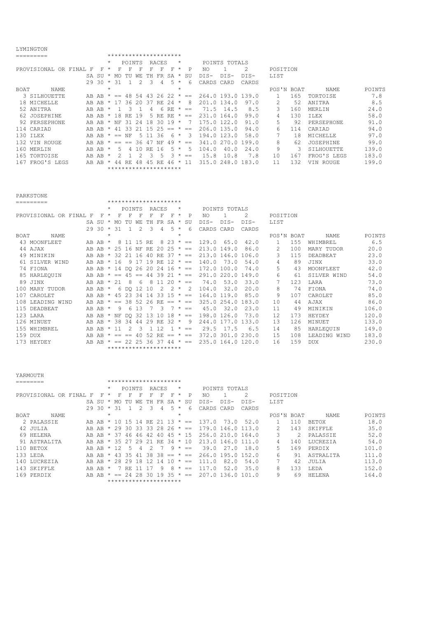## LYMINGTON

| <b>⊔⊥⊥</b> ⊥⊥⊥।∨∪⊥ ∪⊥∨ |                                         |                                               |                                                                                                   |                                                                                      |     |                           |     |               |                             |                                                           |                 |        |                                                                            |                                                         |     |                        |        |
|------------------------|-----------------------------------------|-----------------------------------------------|---------------------------------------------------------------------------------------------------|--------------------------------------------------------------------------------------|-----|---------------------------|-----|---------------|-----------------------------|-----------------------------------------------------------|-----------------|--------|----------------------------------------------------------------------------|---------------------------------------------------------|-----|------------------------|--------|
| =========              |                                         |                                               |                                                                                                   |                                                                                      |     |                           |     |               |                             |                                                           |                 |        |                                                                            |                                                         |     |                        |        |
|                        |                                         |                                               |                                                                                                   |                                                                                      |     |                           |     |               | $\star$                     |                                                           |                 |        |                                                                            |                                                         |     |                        |        |
|                        |                                         |                                               |                                                                                                   |                                                                                      |     |                           | F   | F             | $\star$                     | P                                                         | NO.             |        | 2                                                                          |                                                         |     |                        |        |
|                        |                                         |                                               | MO.                                                                                               | TU                                                                                   | WF. | TН                        | FR  | SA            | $\star$                     | SU                                                        | $DIS-$          | $DTS-$ | DTS-                                                                       | LIST                                                    |     |                        |        |
|                        |                                         |                                               | 31                                                                                                |                                                                                      |     | 3                         | 4   | .5            | $\star$                     | 6                                                         |                 | CARD   | CARDS                                                                      |                                                         |     |                        |        |
| NAME                   |                                         | $\star$                                       |                                                                                                   |                                                                                      |     |                           |     |               | $\star$                     |                                                           |                 |        |                                                                            |                                                         |     | <b>NAME</b>            | POINTS |
| 3 SILHOUETTE           |                                         |                                               | $==$                                                                                              |                                                                                      |     | 43                        |     |               |                             | $=$                                                       |                 |        |                                                                            |                                                         | 165 | TORTOISE               | 7.8    |
| 18 MICHELLE            |                                         |                                               | 17                                                                                                |                                                                                      | 20  | -37                       | RE. | 2.4           | $\star$                     | 8                                                         |                 |        | 97.0                                                                       |                                                         | 52  | ANITRA                 | 8.5    |
| 52 ANITRA              |                                         |                                               |                                                                                                   | Κ                                                                                    |     | 4                         | 6   | RE            | $\star$                     | $=$                                                       | 71.5            | 14.5   | 8.5                                                                        | 3                                                       | 160 | MERLIN                 | 24.0   |
| 62 JOSEPHINE           |                                         |                                               |                                                                                                   | RF.                                                                                  |     |                           |     |               | $\star$                     | $==$                                                      |                 |        | 99.0                                                                       | 4                                                       | 130 | <b>TT.EX</b>           | 58.0   |
| 92 PERSEPHONE          |                                         |                                               | NF                                                                                                | 31                                                                                   | 2.4 | 18                        | 30  |               | $\star$                     |                                                           |                 |        | 91.0                                                                       | 5                                                       | 92  | <b>PERSEPHONE</b>      | 91.0   |
| 114 CARTAD             |                                         |                                               | 41                                                                                                | 33                                                                                   |     |                           | 25  | $= -$         |                             | $==$                                                      |                 |        | 94.0                                                                       | б                                                       | 114 | CARIAD                 | 94.0   |
| 130 TLEX               |                                         |                                               | $==$                                                                                              | NF                                                                                   | 'n. |                           | -36 | 6             | $\star$                     | 3                                                         | 194.0           |        | 58.0                                                                       |                                                         | 18  | <b>MTCHELLE</b>        | 97.0   |
| 132 VIN ROUGE          |                                         |                                               | $==$                                                                                              | $==$                                                                                 | 36  | -47                       | NF  | 49            | $\star$                     | $==$                                                      | 341<br>$\Omega$ | 270.0  | 199.0                                                                      | 8                                                       | 62  | JOSEPHINE              | 99.0   |
| 160 MERLIN             |                                         |                                               | 5.                                                                                                |                                                                                      | 10  | RF.                       | 16  |               | $\star$                     | 5                                                         | 104.0           | 40.0   | 24.0                                                                       | 9                                                       | 3   | STLHOUETTE             | 139.0  |
| 165 TORTOISE           |                                         |                                               |                                                                                                   |                                                                                      |     |                           | 5   |               | $\star$                     | $==$                                                      | 15.8            | 10.8   | 7.8                                                                        | 10                                                      | 167 | FROG'S LEGS            | 183.0  |
|                        |                                         |                                               | 44                                                                                                | RF.                                                                                  | 48  | 45                        | RF. | 46            | $\star$                     |                                                           |                 |        |                                                                            | 11                                                      | 132 | VIN ROUGE              | 199.0  |
|                        |                                         |                                               |                                                                                                   |                                                                                      |     |                           |     |               |                             |                                                           |                 |        |                                                                            |                                                         |     |                        |        |
|                        | PROVISIONAL OR FINAL<br>167 FROG'S LEGS | F<br>AB<br>AB<br>AB.<br>AB<br>AB<br>AB.<br>AB | F<br>SA SU<br>29 30<br>AB AB<br>AB AB<br>AB<br>AB<br>AB<br>AB AB<br>AB<br>AB<br>AB<br>AB<br>AB AB | $\star$<br>$\star$<br>$\star$<br>$\star$<br>$\star$<br>$\star$<br>$\star$<br>$\star$ | 18  | POINTS<br>48<br>36<br>-19 | .54 | 5 RE<br>$+5-$ | RACES<br>26 22<br>RE.<br>19 | *********************<br>$\star$<br>********************* | $\star$<br>-11  |        | CARDS<br>201.0 134.0<br>231.0 164.0<br>175.0 122.0<br>206.0 135.0<br>123.0 | POINTS TOTALS<br>264.0 193.0 139.0<br>315.0 248.0 183.0 |     | POSITION<br>POS'N BOAT |        |

PARKSTONE

|             | ========             |   |             |         |       |                |               | ********************* |                        |           |         |             |            |               |                   |               |     |              |        |
|-------------|----------------------|---|-------------|---------|-------|----------------|---------------|-----------------------|------------------------|-----------|---------|-------------|------------|---------------|-------------------|---------------|-----|--------------|--------|
|             |                      |   |             | $\star$ |       | POINTS         |               |                       | RACES                  |           | $\star$ |             |            | POINTS TOTALS |                   |               |     |              |        |
|             | PROVISIONAL OR FINAL | F | F           | $\star$ | F     | F              | F             | F                     | F                      | F         | $\star$ | P           | NO.        |               | 2                 | POSITION      |     |              |        |
|             |                      |   | SA SU       | $\star$ | MO.   | TU             | WF.           | TН                    | FR.                    | SA        | $\star$ | SU          | $DIS-$     | $DIS-$        | $DTS-$            | LIST          |     |              |        |
|             |                      |   | $2930 * 31$ |         |       | $\overline{1}$ | $\mathcal{L}$ | 3                     | 4                      | 5         | $\star$ | 6           | CARDS CARD |               | CARDS             |               |     |              |        |
| <b>BOAT</b> | <b>NAME</b>          |   |             | $\star$ |       |                |               |                       |                        |           | $\star$ |             |            |               |                   | POS'N BOAT    |     | <b>NAME</b>  | POINTS |
|             | 43 MOONFLEET         |   | AB AB *     |         | 8     | 11 15 RE       |               |                       |                        | $8\,23$ * |         | $==$        |            | 129.0 65.0    | 42.0              | $\mathbf{1}$  | 155 | WHIMBREL     | 6.5    |
|             | 44 AJAX              |   | AB AB       | $\star$ | 25 16 |                | NF            | RE.                   | 2.0                    | $2.5$ *   |         | $==$        |            | 213.0 149.0   | 86.0              | $\mathcal{L}$ | 100 | MARY TUDOR   | 20.0   |
|             | 49 MINIKIN           |   | AB AB       | $\star$ | 32 21 |                | - 16          | 40                    | RE.                    | $37 *$    |         | $=$         |            |               | 213.0 146.0 106.0 | 3.            | 115 | DEADBEAT     | 23.0   |
|             | 61 SILVER WIND       |   | AB AB       | $\star$ | 16    |                |               | 9 17 19 RE 12 $* ==$  |                        |           |         |             | 140.0      | 73.0          | 54.0              | 4             | 89  | JINX         | 33.0   |
|             | 74 FIONA             |   | AB AB *     |         |       | 14 DO 26       |               |                       | $20\ 24\ 16 \times ==$ |           |         |             | 172.0      | 100.0         | 74.0              | 5.            | 43  | MOONFLEET    | 42.0   |
|             | 85 HARLEQUIN         |   | AB AB       | $\star$ | $=$   | 45             | $=$           | 44                    | $3921 \times ==$       |           |         |             | 291.0      |               | 220.0149.0        | 6             | 61  | SILVER WIND  | 54.0   |
|             | 89 JINX              |   | AB AB       | $\star$ | 2.1   | 8              | 6             | -8                    | 11                     | $20 * ==$ |         |             | 74.0       | 53.0          | 33.0              | 7             | 123 | LARA         | 73.0   |
|             | 100 MARY TUDOR       |   | AB AB       | $\star$ |       | 6 DO 12 10     |               |                       | 2                      | -2        | $\star$ | 2           | 104.0      | 32.0          | 20.0              | 8             | 74  | FIONA        | 74.0   |
|             | 107 CAROLET          |   | AB AB       | $\star$ |       | 45 23 34       |               | - 14                  | 33                     | 15        | $\star$ | $==$        |            | 164.0 119.0   | 85.0              | 9             | 107 | CAROLET      | 85.0   |
|             | 108 LEADING WIND     |   | AB AB       | $\star$ | $==$  | 38             | 52            | 26                    | RE.                    | $==$      | $\star$ | $==$        |            | 325.0 254.0   | 183.0             | 10            | 44  | AJAX         | 86.0   |
| 115         | DEADBEAT             |   | AB AB       | $\star$ | 9     | 6              | 13            |                       | 3                      |           |         | $7 * =$     | 45.0       | 32.0          | 23.0              | 11            | 49  | MINIKIN      | 106.0  |
|             | 123 LARA             |   | AB AB       | $\star$ | NF    | DO 32          |               | 13                    | - 10                   | 18        |         | $\star$ ==  |            | 198.0 126.0   | 73.0              | 12.           | 173 | HEYDEY       | 120.0  |
|             | 126 MINUET           |   | AB AB       | $\star$ | 38    | 34             | 44            | 29                    | RE.                    | 32        | $\star$ | 9           |            |               | 244.0 177.0 133.0 | 13            | 126 | MINUET       | 133.0  |
|             | 155 WHIMBREL         |   | AB AB       | $\star$ | 11    | 2              | २             |                       | 12                     |           |         | $\star$ ==  | 29.5       | 17.5          | 6.5               | 14            | 85  | HARLEOUIN    | 149.0  |
| 159 DUX     |                      |   | AB AB       | $\star$ | $=$   | $=$            | -40           | 52                    | $RF = *$               |           |         | $= -$       |            |               | 372.0 301.0 230.0 | 15            | 108 | LEADING WIND | 183.0  |
|             | 173 HEYDEY           |   | AB AB       |         | $=$   | 22             | -25           |                       | 36 37 44               |           |         | $\star$ $=$ |            |               | 235.0 164.0 120.0 | 16            | 159 | <b>DUX</b>   | 230.0  |
|             |                      |   |             |         |       |                |               | ********************* |                        |           |         |             |            |               |                   |               |     |              |        |

|  |  |  | YARMOUTH |  |
|--|--|--|----------|--|
|  |  |  |          |  |

|             | -----------    |            |       |         |     |               |      |                                            |           |        |         |              |            |               |                   |            |     |               |        |
|-------------|----------------|------------|-------|---------|-----|---------------|------|--------------------------------------------|-----------|--------|---------|--------------|------------|---------------|-------------------|------------|-----|---------------|--------|
|             | ========       |            |       |         |     |               |      | *********************                      |           |        |         |              |            |               |                   |            |     |               |        |
|             |                |            |       | $\star$ |     | <b>POINTS</b> |      |                                            | RACES     |        | $\star$ |              |            | POINTS TOTALS |                   |            |     |               |        |
|             | PROVISIONAL OR | FINAL<br>F | F     | $\star$ | F   |               |      |                                            | ᠷ         | F      | $\star$ | P            | ΝO         |               | 2                 | POSITION   |     |               |        |
|             |                | SA         | SU    | $\star$ | MO. | TU            | WF.  | TН                                         | FR        | SA     | $\star$ | SU           | $DIS-$     | $DTS-$        | $DTS-$            | LIST       |     |               |        |
|             |                |            | 29 30 | $\star$ | -31 |               |      | २                                          | 4         | .5     | $\star$ | 6            | CARDS CARD |               | CARDS             |            |     |               |        |
| <b>BOAT</b> | NAME           |            |       | $\star$ |     |               |      |                                            |           |        | $\star$ |              |            |               |                   | POS'N BOAT |     | <b>NAME</b>   | POINTS |
|             | 2 PALASSIE     | AB         | AB    | $\star$ | 10  | 15            | - 14 | RE                                         | -21       | -13    | $\star$ | $==$         | 137.0      | 73.0          | 52.0              |            | 110 | <b>BETOX</b>  | 18.0   |
|             | 42 JULIA       |            |       |         |     |               |      | AB AB $\star$ 29 30 33 33 28 26 $\star$ == |           |        |         |              |            |               | 179.0 146.0 113.0 |            | 143 | SKIFFLE       | 35.0   |
|             | 69 HELENA      | AB         | AB    | $\star$ | 37  | 46            | 46   | 42                                         | 40        | 45     |         | $* 15$       |            |               | 256.0 210.0 164.0 | 3          |     | PALASSIE      | 52.0   |
|             | 91 ASTRALITA   | AB         | AB    | $\star$ | 35  | -27           | 29   | -21                                        | RE.       | 34     | $\star$ | 10           |            | 213.0 146.0   | 111.0             |            | 140 | LUCREZIA      | 54.0   |
|             | 110 BETOX      |            | AB AB | $\star$ | 12. | 5             | 4    | 2                                          |           | 9      |         | $\star$ ==   | 39.0       | 27.0          | 18.0              | 5.         | 169 | PERDIX        | 101.0  |
|             | 133 LEDA       | AB         | AB    | $\star$ | 43  | -3.5          | 41   | 38                                         |           | $38 =$ |         | $\star$ $==$ |            | 266.0 195.0   | 152.0             | б          | 91  | ASTRALITA     | 111.0  |
|             | 140 LUCREZIA   | AB         | AB    | $\star$ | 28  | 29            | 18   | 12                                         | <b>14</b> | 1 O    | $\star$ | $=$          | . 0        | 82.0          | 54.0              |            | 42  | JULIA         | 113.0  |
|             | 143 SKIFFLE    |            | AB AB | $\star$ |     | 7 RF          |      |                                            | 9         | 8      |         | $\star$ $==$ | 11<br>17.0 | 52.0          | 35.0              | 8          | 133 | LEDA          | 152.0  |
|             | 169 PERDIX     | AB         | AB    | $\star$ | $=$ | 24            | 28   | -30-                                       | 19        | -35    |         | $\star$ $=$  |            | 207.0 136.0   | 101.0             | 9          | 69  | <b>HELENA</b> | 164.0  |
|             |                |            |       |         |     |               |      | *********************                      |           |        |         |              |            |               |                   |            |     |               |        |